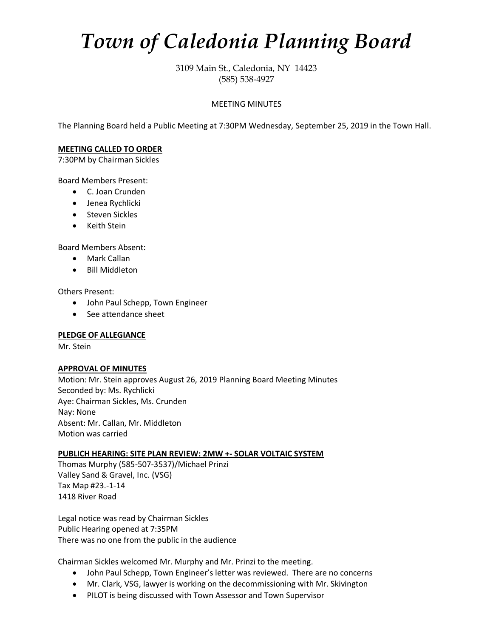# *Town of Caledonia Planning Board*

3109 Main St., Caledonia, NY 14423 (585) 538-4927

### MEETING MINUTES

The Planning Board held a Public Meeting at 7:30PM Wednesday, September 25, 2019 in the Town Hall.

#### **MEETING CALLED TO ORDER**

7:30PM by Chairman Sickles

Board Members Present:

- C. Joan Crunden
- Jenea Rychlicki
- Steven Sickles
- Keith Stein

Board Members Absent:

- Mark Callan
- Bill Middleton

Others Present:

- John Paul Schepp, Town Engineer
- See attendance sheet

#### **PLEDGE OF ALLEGIANCE**

Mr. Stein

#### **APPROVAL OF MINUTES**

Motion: Mr. Stein approves August 26, 2019 Planning Board Meeting Minutes Seconded by: Ms. Rychlicki Aye: Chairman Sickles, Ms. Crunden Nay: None Absent: Mr. Callan, Mr. Middleton Motion was carried

#### **PUBLICH HEARING: SITE PLAN REVIEW: 2MW +- SOLAR VOLTAIC SYSTEM**

Thomas Murphy (585-507-3537)/Michael Prinzi Valley Sand & Gravel, Inc. (VSG) Tax Map #23.-1-14 1418 River Road

Legal notice was read by Chairman Sickles Public Hearing opened at 7:35PM There was no one from the public in the audience

Chairman Sickles welcomed Mr. Murphy and Mr. Prinzi to the meeting.

- John Paul Schepp, Town Engineer's letter was reviewed. There are no concerns
- Mr. Clark, VSG, lawyer is working on the decommissioning with Mr. Skivington
- PILOT is being discussed with Town Assessor and Town Supervisor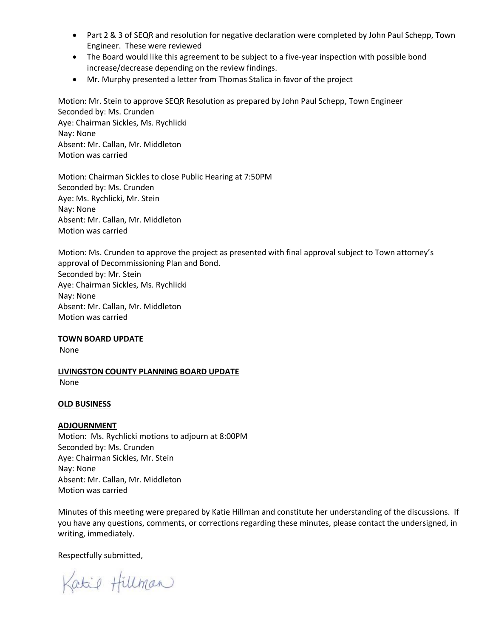- Part 2 & 3 of SEQR and resolution for negative declaration were completed by John Paul Schepp, Town Engineer. These were reviewed
- The Board would like this agreement to be subject to a five-year inspection with possible bond increase/decrease depending on the review findings.
- Mr. Murphy presented a letter from Thomas Stalica in favor of the project

Motion: Mr. Stein to approve SEQR Resolution as prepared by John Paul Schepp, Town Engineer Seconded by: Ms. Crunden Aye: Chairman Sickles, Ms. Rychlicki Nay: None Absent: Mr. Callan, Mr. Middleton Motion was carried

Motion: Chairman Sickles to close Public Hearing at 7:50PM Seconded by: Ms. Crunden Aye: Ms. Rychlicki, Mr. Stein Nay: None Absent: Mr. Callan, Mr. Middleton Motion was carried

Motion: Ms. Crunden to approve the project as presented with final approval subject to Town attorney's approval of Decommissioning Plan and Bond. Seconded by: Mr. Stein Aye: Chairman Sickles, Ms. Rychlicki Nay: None Absent: Mr. Callan, Mr. Middleton Motion was carried

#### **TOWN BOARD UPDATE**

None

**LIVINGSTON COUNTY PLANNING BOARD UPDATE** None

#### **OLD BUSINESS**

#### **ADJOURNMENT**

Motion: Ms. Rychlicki motions to adjourn at 8:00PM Seconded by: Ms. Crunden Aye: Chairman Sickles, Mr. Stein Nay: None Absent: Mr. Callan, Mr. Middleton Motion was carried

Minutes of this meeting were prepared by Katie Hillman and constitute her understanding of the discussions. If you have any questions, comments, or corrections regarding these minutes, please contact the undersigned, in writing, immediately.

Respectfully submitted,

Katie Hillman